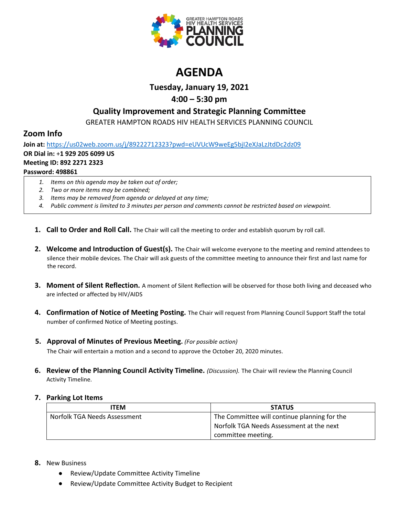

# **AGENDA**

**Tuesday, January 19, 2021**

### **4:00 – 5:30 pm**

### **Quality Improvement and Strategic Planning Committee**

GREATER HAMPTON ROADS HIV HEALTH SERVICES PLANNING COUNCIL

## **Zoom Info**

**Join at:** <https://us02web.zoom.us/j/89222712323?pwd=eUVUcW9weEg5bjI2eXJaLzJtdDc2dz09> **OR Dial in:** +**1 929 205 6099 US Meeting ID: 892 2271 2323 Password: 498861**

- *1. Items on this agenda may be taken out of order;*
- *2. Two or more items may be combined;*
- *3. Items may be removed from agenda or delayed at any time;*
- *4. Public comment is limited to 3 minutes per person and comments cannot be restricted based on viewpoint.*
- **1. Call to Order and Roll Call.** The Chair will call the meeting to order and establish quorum by roll call.
- **2. Welcome and Introduction of Guest(s).** The Chair will welcome everyone to the meeting and remind attendees to silence their mobile devices. The Chair will ask guests of the committee meeting to announce their first and last name for the record.
- **3. Moment of Silent Reflection.** A moment of Silent Reflection will be observed for those both living and deceased who are infected or affected by HIV/AIDS
- **4. Confirmation of Notice of Meeting Posting.** The Chair will request from Planning Council Support Staff the total number of confirmed Notice of Meeting postings.
- **5. Approval of Minutes of Previous Meeting.** *(For possible action)*

The Chair will entertain a motion and a second to approve the October 20, 2020 minutes.

**6. Review of the Planning Council Activity Timeline.** *(Discussion).* The Chair will review the Planning Council Activity Timeline.

### **7. Parking Lot Items**

| ITEM                         | <b>STATUS</b>                                |
|------------------------------|----------------------------------------------|
| Norfolk TGA Needs Assessment | The Committee will continue planning for the |
|                              | Norfolk TGA Needs Assessment at the next     |
|                              | committee meeting.                           |

### **8.** New Business

- Review/Update Committee Activity Timeline
- Review/Update Committee Activity Budget to Recipient